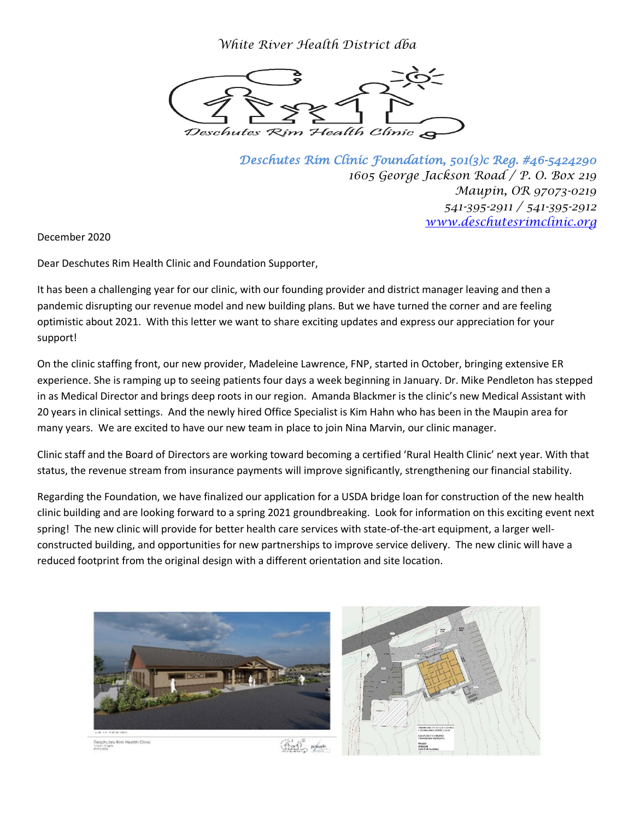*White River Health District dba*



*Deschutes Rim Clinic Foundation, 501(3)c Reg. #46-5424290 1605 George Jackson Road / P. O. Box 219 Maupin, OR 97073-0219 541-395-2911 / 541-395-2912 [www.deschutesrimclinic.org](http://www.deschutesrimclinic.org/)*

December 2020

Dear Deschutes Rim Health Clinic and Foundation Supporter,

It has been a challenging year for our clinic, with our founding provider and district manager leaving and then a pandemic disrupting our revenue model and new building plans. But we have turned the corner and are feeling optimistic about 2021. With this letter we want to share exciting updates and express our appreciation for your support!

On the clinic staffing front, our new provider, Madeleine Lawrence, FNP, started in October, bringing extensive ER experience. She is ramping up to seeing patients four days a week beginning in January. Dr. Mike Pendleton has stepped in as Medical Director and brings deep roots in our region. Amanda Blackmer is the clinic's new Medical Assistant with 20 years in clinical settings. And the newly hired Office Specialist is Kim Hahn who has been in the Maupin area for many years. We are excited to have our new team in place to join Nina Marvin, our clinic manager.

Clinic staff and the Board of Directors are working toward becoming a certified 'Rural Health Clinic' next year. With that status, the revenue stream from insurance payments will improve significantly, strengthening our financial stability.

Regarding the Foundation, we have finalized our application for a USDA bridge loan for construction of the new health clinic building and are looking forward to a spring 2021 groundbreaking. Look for information on this exciting event next spring! The new clinic will provide for better health care services with state-of-the-art equipment, a larger wellconstructed building, and opportunities for new partnerships to improve service delivery. The new clinic will have a reduced footprint from the original design with a different orientation and site location.